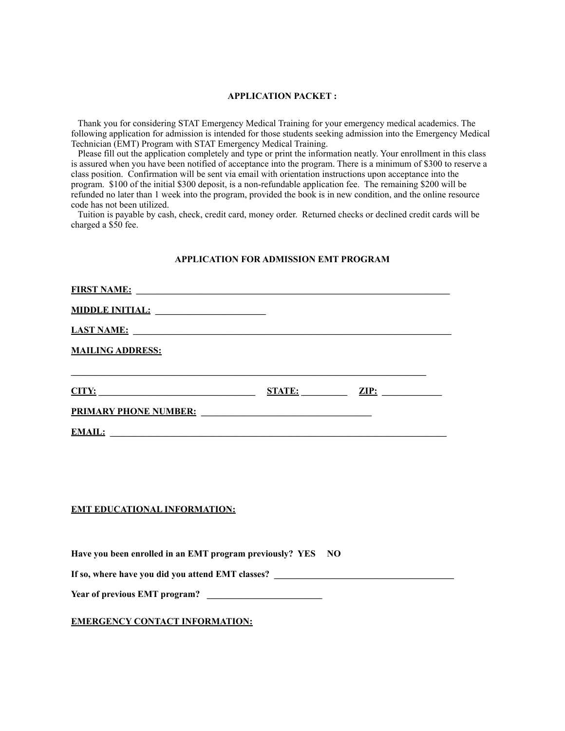#### **APPLICATION PACKET :**

 Thank you for considering STAT Emergency Medical Training for your emergency medical academics. The following application for admission is intended for those students seeking admission into the Emergency Medical Technician (EMT) Program with STAT Emergency Medical Training.

 Please fill out the application completely and type or print the information neatly. Your enrollment in this class is assured when you have been notified of acceptance into the program. There is a minimum of \$300 to reserve a class position. Confirmation will be sent via email with orientation instructions upon acceptance into the program. \$100 of the initial \$300 deposit, is a non-refundable application fee. The remaining \$200 will be refunded no later than 1 week into the program, provided the book is in new condition, and the online resource code has not been utilized.

 Tuition is payable by cash, check, credit card, money order. Returned checks or declined credit cards will be charged a \$50 fee.

## **APPLICATION FOR ADMISSION EMT PROGRAM**

| LAST NAME:                                                                   |  |
|------------------------------------------------------------------------------|--|
| <b>MAILING ADDRESS:</b>                                                      |  |
| $\underline{CITY:}$ $\underline{ZIP:}$ $\underline{ZIP:}$ $\underline{ZIP:}$ |  |
|                                                                              |  |
|                                                                              |  |
|                                                                              |  |
|                                                                              |  |
|                                                                              |  |
| <b>EMT EDUCATIONAL INFORMATION:</b>                                          |  |
|                                                                              |  |
| Have you been enrolled in an EMT program previously? YES NO                  |  |
|                                                                              |  |
|                                                                              |  |
| <b>EMERGENCY CONTACT INFORMATION:</b>                                        |  |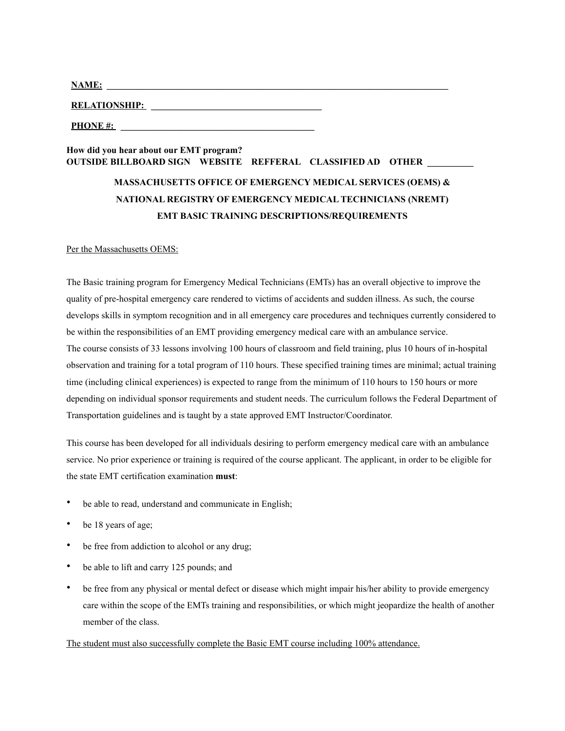| NAME<br>. <b>. . .</b> . |  |  |  |
|--------------------------|--|--|--|
|                          |  |  |  |

**RELATIONSHIP: \_\_\_\_\_\_\_\_\_\_\_\_\_\_\_\_\_\_\_\_\_\_\_\_\_\_\_\_\_\_\_\_\_\_\_\_\_**

**PHONE #:** 

# **How did you hear about our EMT program? OUTSIDE BILLBOARD SIGN WEBSITE REFFERAL CLASSIFIED AD OTHER \_\_**

# **MASSACHUSETTS OFFICE OF EMERGENCY MEDICAL SERVICES (OEMS) & NATIONAL REGISTRY OF EMERGENCY MEDICAL TECHNICIANS (NREMT) EMT BASIC TRAINING DESCRIPTIONS/REQUIREMENTS**

#### Per the Massachusetts OEMS:

The Basic training program for Emergency Medical Technicians (EMTs) has an overall objective to improve the quality of pre-hospital emergency care rendered to victims of accidents and sudden illness. As such, the course develops skills in symptom recognition and in all emergency care procedures and techniques currently considered to be within the responsibilities of an EMT providing emergency medical care with an ambulance service. The course consists of 33 lessons involving 100 hours of classroom and field training, plus 10 hours of in-hospital observation and training for a total program of 110 hours. These specified training times are minimal; actual training time (including clinical experiences) is expected to range from the minimum of 110 hours to 150 hours or more depending on individual sponsor requirements and student needs. The curriculum follows the Federal Department of Transportation guidelines and is taught by a state approved EMT Instructor/Coordinator.

This course has been developed for all individuals desiring to perform emergency medical care with an ambulance service. No prior experience or training is required of the course applicant. The applicant, in order to be eligible for the state EMT certification examination **must**:

- be able to read, understand and communicate in English;
- be 18 years of age;
- be free from addiction to alcohol or any drug;
- be able to lift and carry 125 pounds; and
- be free from any physical or mental defect or disease which might impair his/her ability to provide emergency care within the scope of the EMTs training and responsibilities, or which might jeopardize the health of another member of the class.

#### The student must also successfully complete the Basic EMT course including 100% attendance.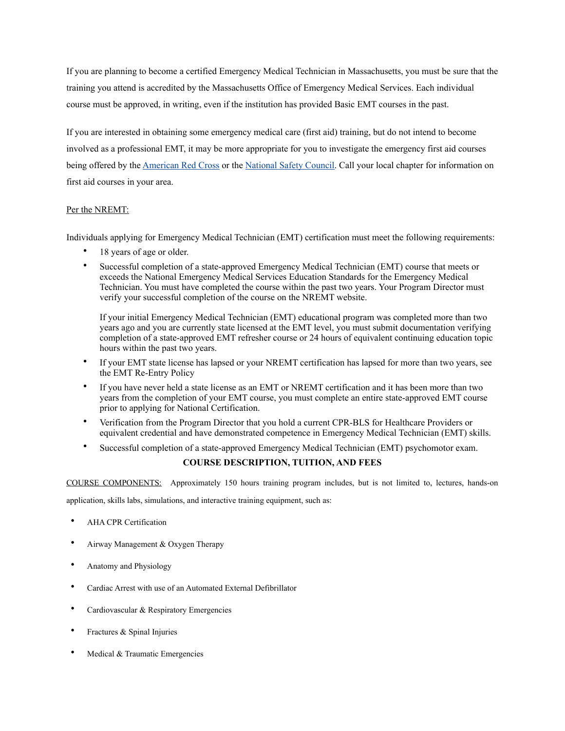If you are planning to become a certified Emergency Medical Technician in Massachusetts, you must be sure that the training you attend is accredited by the Massachusetts Office of Emergency Medical Services. Each individual course must be approved, in writing, even if the institution has provided Basic EMT courses in the past.

If you are interested in obtaining some emergency medical care (first aid) training, but do not intend to become involved as a professional EMT, it may be more appropriate for you to investigate the emergency first aid courses being offered by the [American Red Cross](http://www.redcross.org/) or the [National Safety Council.](http://www.nsc.org/) Call your local chapter for information on first aid courses in your area.

#### Per the NREMT:

Individuals applying for Emergency Medical Technician (EMT) certification must meet the following requirements:

- 18 years of age or older.
- Successful completion of a state-approved Emergency Medical Technician (EMT) course that meets or exceeds the National Emergency Medical Services Education Standards for the Emergency Medical Technician. You must have completed the course within the past two years. Your Program Director must verify your successful completion of the course on the NREMT website.

If your initial Emergency Medical Technician (EMT) educational program was completed more than two years ago and you are currently state licensed at the EMT level, you must submit documentation verifying completion of a state-approved EMT refresher course or 24 hours of equivalent continuing education topic hours within the past two years.

- If your EMT state license has lapsed or your NREMT certification has lapsed for more than two years, see the EMT Re-Entry Policy
- If you have never held a state license as an EMT or NREMT certification and it has been more than two years from the completion of your EMT course, you must complete an entire state-approved EMT course prior to applying for National Certification.
- Verification from the Program Director that you hold a current CPR-BLS for Healthcare Providers or equivalent credential and have demonstrated competence in Emergency Medical Technician (EMT) skills.
- Successful completion of a state-approved Emergency Medical Technician (EMT) psychomotor exam.

#### **COURSE DESCRIPTION, TUITION, AND FEES**

COURSE COMPONENTS: Approximately 150 hours training program includes, but is not limited to, lectures, hands-on

application, skills labs, simulations, and interactive training equipment, such as:

- AHA CPR Certification
- Airway Management & Oxygen Therapy
- Anatomy and Physiology
- Cardiac Arrest with use of an Automated External Defibrillator
- Cardiovascular & Respiratory Emergencies
- Fractures & Spinal Injuries
- Medical & Traumatic Emergencies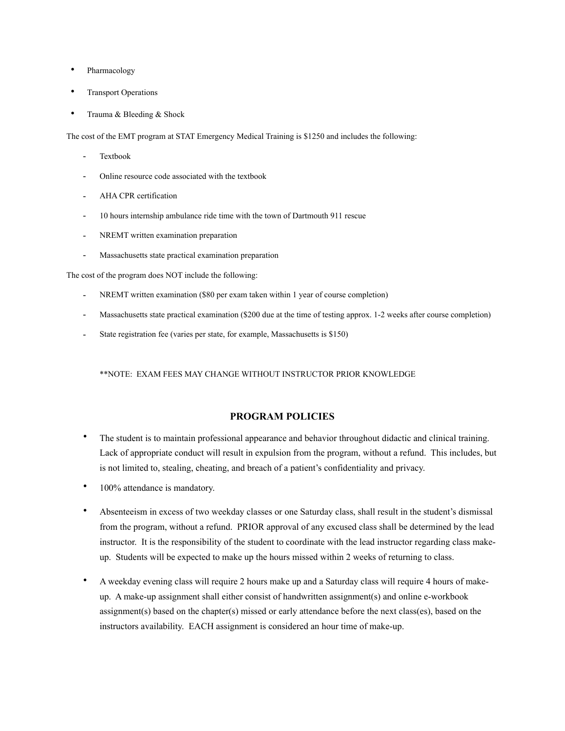- Pharmacology
- **Transport Operations**
- Trauma & Bleeding & Shock

The cost of the EMT program at STAT Emergency Medical Training is \$1250 and includes the following:

- **Textbook**
- Online resource code associated with the textbook
- AHA CPR certification
- 10 hours internship ambulance ride time with the town of Dartmouth 911 rescue
- NREMT written examination preparation
- Massachusetts state practical examination preparation

The cost of the program does NOT include the following:

- NREMT written examination (\$80 per exam taken within 1 year of course completion)
- Massachusetts state practical examination (\$200 due at the time of testing approx. 1-2 weeks after course completion)
- State registration fee (varies per state, for example, Massachusetts is \$150)

\*\*NOTE: EXAM FEES MAY CHANGE WITHOUT INSTRUCTOR PRIOR KNOWLEDGE

#### **PROGRAM POLICIES**

- The student is to maintain professional appearance and behavior throughout didactic and clinical training. Lack of appropriate conduct will result in expulsion from the program, without a refund. This includes, but is not limited to, stealing, cheating, and breach of a patient's confidentiality and privacy.
- 100% attendance is mandatory.
- Absenteeism in excess of two weekday classes or one Saturday class, shall result in the student's dismissal from the program, without a refund. PRIOR approval of any excused class shall be determined by the lead instructor. It is the responsibility of the student to coordinate with the lead instructor regarding class makeup. Students will be expected to make up the hours missed within 2 weeks of returning to class.
- A weekday evening class will require 2 hours make up and a Saturday class will require 4 hours of makeup. A make-up assignment shall either consist of handwritten assignment(s) and online e-workbook assignment(s) based on the chapter(s) missed or early attendance before the next class(es), based on the instructors availability. EACH assignment is considered an hour time of make-up.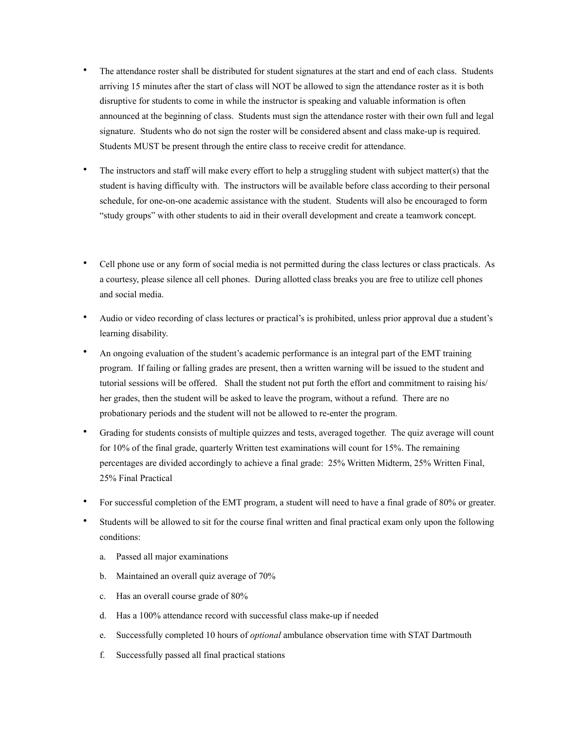- The attendance roster shall be distributed for student signatures at the start and end of each class. Students arriving 15 minutes after the start of class will NOT be allowed to sign the attendance roster as it is both disruptive for students to come in while the instructor is speaking and valuable information is often announced at the beginning of class. Students must sign the attendance roster with their own full and legal signature. Students who do not sign the roster will be considered absent and class make-up is required. Students MUST be present through the entire class to receive credit for attendance.
- The instructors and staff will make every effort to help a struggling student with subject matter(s) that the student is having difficulty with. The instructors will be available before class according to their personal schedule, for one-on-one academic assistance with the student. Students will also be encouraged to form "study groups" with other students to aid in their overall development and create a teamwork concept.
- Cell phone use or any form of social media is not permitted during the class lectures or class practicals. As a courtesy, please silence all cell phones. During allotted class breaks you are free to utilize cell phones and social media.
- Audio or video recording of class lectures or practical's is prohibited, unless prior approval due a student's learning disability.
- An ongoing evaluation of the student's academic performance is an integral part of the EMT training program. If failing or falling grades are present, then a written warning will be issued to the student and tutorial sessions will be offered. Shall the student not put forth the effort and commitment to raising his/ her grades, then the student will be asked to leave the program, without a refund. There are no probationary periods and the student will not be allowed to re-enter the program.
- Grading for students consists of multiple quizzes and tests, averaged together. The quiz average will count for 10% of the final grade, quarterly Written test examinations will count for 15%. The remaining percentages are divided accordingly to achieve a final grade: 25% Written Midterm, 25% Written Final, 25% Final Practical
- For successful completion of the EMT program, a student will need to have a final grade of 80% or greater.
- Students will be allowed to sit for the course final written and final practical exam only upon the following conditions:
	- a. Passed all major examinations
	- b. Maintained an overall quiz average of 70%
	- c. Has an overall course grade of 80%
	- d. Has a 100% attendance record with successful class make-up if needed
	- e. Successfully completed 10 hours of *optional* ambulance observation time with STAT Dartmouth
	- f. Successfully passed all final practical stations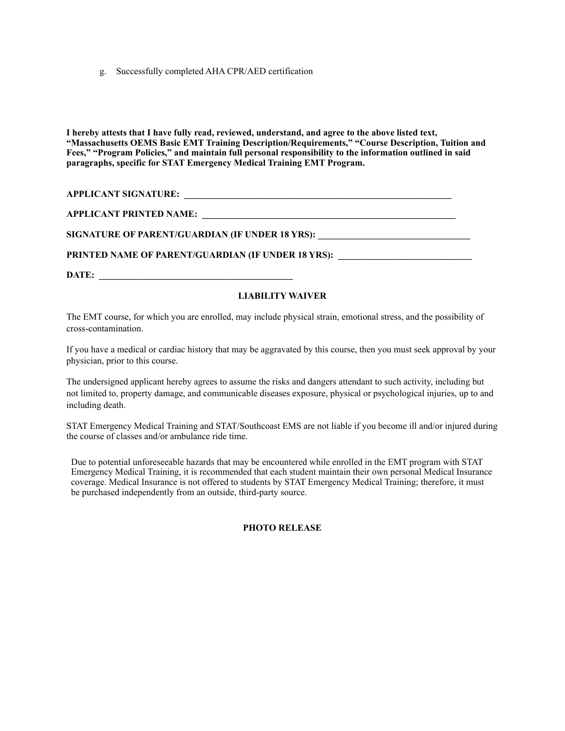g. Successfully completed AHA CPR/AED certification

**I hereby attests that I have fully read, reviewed, understand, and agree to the above listed text, "Massachusetts OEMS Basic EMT Training Description/Requirements," "Course Description, Tuition and Fees," "Program Policies," and maintain full personal responsibility to the information outlined in said paragraphs, specific for STAT Emergency Medical Training EMT Program.** 

**APPLICANT SIGNATURE: \_\_\_\_\_\_\_\_\_\_\_\_\_\_\_\_\_\_\_\_\_\_\_\_\_\_\_\_\_\_\_\_\_\_\_\_\_\_\_\_\_\_\_\_\_\_\_\_\_\_\_\_\_\_\_\_\_\_**

**APPLICANT PRINTED NAME: \_\_\_\_\_\_\_\_\_\_\_\_\_\_\_\_\_\_\_\_\_\_\_\_\_\_\_\_\_\_\_\_\_\_\_\_\_\_\_\_\_\_\_\_\_\_\_\_\_\_\_\_\_\_\_** 

SIGNATURE OF PARENT/GUARDIAN (IF UNDER 18 YRS):

PRINTED NAME OF PARENT/GUARDIAN (IF UNDER 18 YRS): \_\_\_\_\_\_\_\_\_\_\_\_\_\_\_\_\_\_\_\_\_\_\_\_\_\_\_\_\_

**DATE: \_\_\_\_\_\_\_\_\_\_\_\_\_\_\_\_\_\_\_\_\_\_\_\_\_\_\_\_\_\_\_\_\_\_\_\_\_\_\_\_\_\_**

# **LIABILITY WAIVER**

The EMT course, for which you are enrolled, may include physical strain, emotional stress, and the possibility of cross-contamination.

If you have a medical or cardiac history that may be aggravated by this course, then you must seek approval by your physician, prior to this course.

The undersigned applicant hereby agrees to assume the risks and dangers attendant to such activity, including but not limited to, property damage, and communicable diseases exposure, physical or psychological injuries, up to and including death.

STAT Emergency Medical Training and STAT/Southcoast EMS are not liable if you become ill and/or injured during the course of classes and/or ambulance ride time.

Due to potential unforeseeable hazards that may be encountered while enrolled in the EMT program with STAT Emergency Medical Training, it is recommended that each student maintain their own personal Medical Insurance coverage. Medical Insurance is not offered to students by STAT Emergency Medical Training; therefore, it must be purchased independently from an outside, third-party source.

## **PHOTO RELEASE**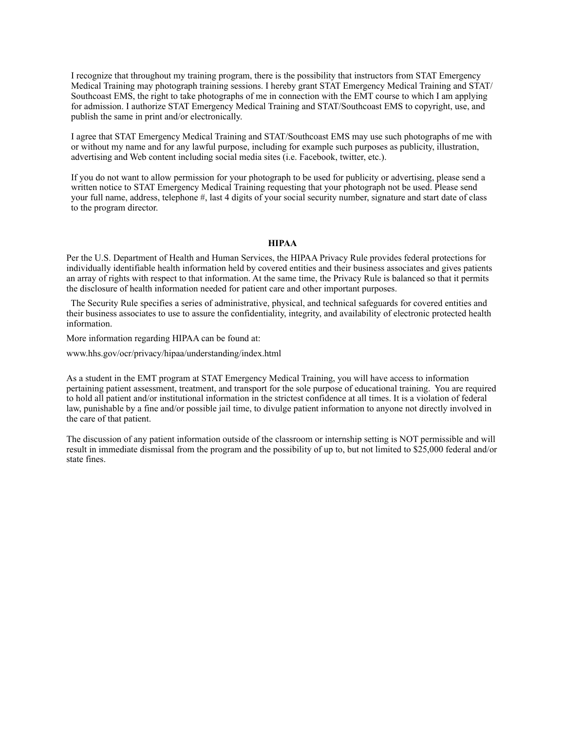I recognize that throughout my training program, there is the possibility that instructors from STAT Emergency Medical Training may photograph training sessions. I hereby grant STAT Emergency Medical Training and STAT/ Southcoast EMS, the right to take photographs of me in connection with the EMT course to which I am applying for admission. I authorize STAT Emergency Medical Training and STAT/Southcoast EMS to copyright, use, and publish the same in print and/or electronically.

I agree that STAT Emergency Medical Training and STAT/Southcoast EMS may use such photographs of me with or without my name and for any lawful purpose, including for example such purposes as publicity, illustration, advertising and Web content including social media sites (i.e. Facebook, twitter, etc.).

If you do not want to allow permission for your photograph to be used for publicity or advertising, please send a written notice to STAT Emergency Medical Training requesting that your photograph not be used. Please send your full name, address, telephone #, last 4 digits of your social security number, signature and start date of class to the program director.

#### **HIPAA**

Per the U.S. Department of Health and Human Services, the HIPAA Privacy Rule provides federal protections for individually identifiable health information held by covered entities and their business associates and gives patients an array of rights with respect to that information. At the same time, the Privacy Rule is balanced so that it permits the disclosure of health information needed for patient care and other important purposes.

 The Security Rule specifies a series of administrative, physical, and technical safeguards for covered entities and their business associates to use to assure the confidentiality, integrity, and availability of electronic protected health information.

More information regarding HIPAA can be found at:

www.hhs.gov/ocr/privacy/hipaa/understanding/index.html

As a student in the EMT program at STAT Emergency Medical Training, you will have access to information pertaining patient assessment, treatment, and transport for the sole purpose of educational training. You are required to hold all patient and/or institutional information in the strictest confidence at all times. It is a violation of federal law, punishable by a fine and/or possible jail time, to divulge patient information to anyone not directly involved in the care of that patient.

The discussion of any patient information outside of the classroom or internship setting is NOT permissible and will result in immediate dismissal from the program and the possibility of up to, but not limited to \$25,000 federal and/or state fines.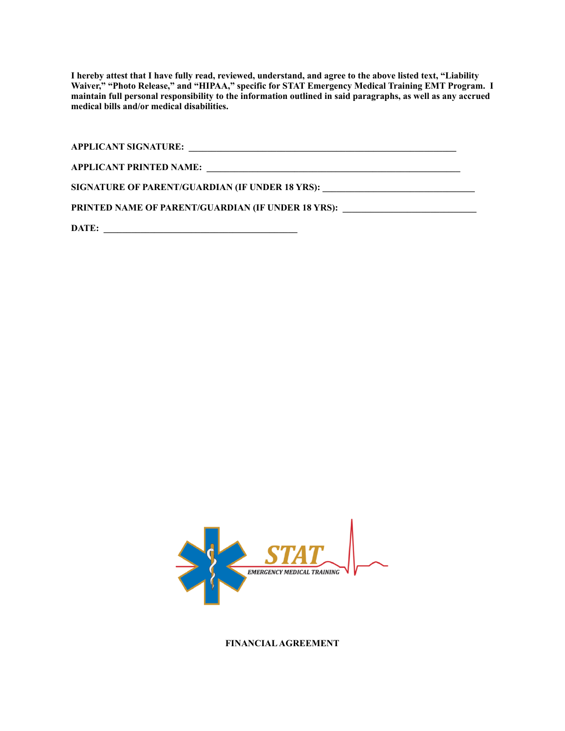**I hereby attest that I have fully read, reviewed, understand, and agree to the above listed text, "Liability Waiver," "Photo Release," and "HIPAA," specific for STAT Emergency Medical Training EMT Program. I maintain full personal responsibility to the information outlined in said paragraphs, as well as any accrued medical bills and/or medical disabilities.** 

**APPLICANT SIGNATURE: \_\_\_\_\_\_\_\_\_\_\_\_\_\_\_\_\_\_\_\_\_\_\_\_\_\_\_\_\_\_\_\_\_\_\_\_\_\_\_\_\_\_\_\_\_\_\_\_\_\_\_\_\_\_\_\_\_\_ APPLICANT PRINTED NAME: \_\_\_\_\_\_\_\_\_\_\_\_\_\_\_\_\_\_\_\_\_\_\_\_\_\_\_\_\_\_\_\_\_\_\_\_\_\_\_\_\_\_\_\_\_\_\_\_\_\_\_\_\_\_\_**  SIGNATURE OF PARENT/GUARDIAN (IF UNDER 18 YRS): \_\_\_\_\_\_\_\_\_\_\_\_\_\_\_\_\_\_\_\_\_\_\_\_\_\_\_\_\_\_\_\_ PRINTED NAME OF PARENT/GUARDIAN (IF UNDER 18 YRS): \_\_\_\_\_\_\_\_\_\_\_\_\_\_\_\_\_\_\_\_\_\_\_\_\_\_\_\_\_

DATE:



**FINANCIAL AGREEMENT**